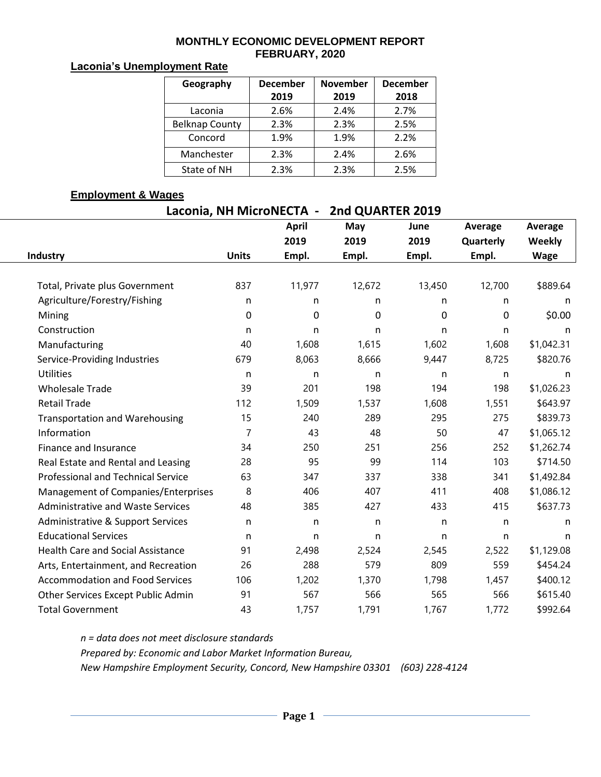#### **MONTHLY ECONOMIC DEVELOPMENT REPORT FEBRUARY, 2020**

### **Laconia's Unemployment Rate**

| Geography             | <b>December</b> | <b>November</b> | <b>December</b> |  |  |
|-----------------------|-----------------|-----------------|-----------------|--|--|
|                       | 2019            | 2019            | 2018            |  |  |
| Laconia               | 2.6%            | 2.4%            | 2.7%            |  |  |
| <b>Belknap County</b> | 2.3%            | 2.3%            | 2.5%            |  |  |
| Concord               | 1.9%            | 1.9%            | 2.2%            |  |  |
| Manchester            | 2.3%            | 2.4%            | 2.6%            |  |  |
| State of NH           | 2.3%            | 2.3%            | 2.5%            |  |  |

### **Employment & Wages**

| Laconia, NH MicroNECTA -<br>2nd QUARTER 2019 |              |              |        |        |           |                                                                                                                                                                                                                                                                                                               |  |  |  |  |
|----------------------------------------------|--------------|--------------|--------|--------|-----------|---------------------------------------------------------------------------------------------------------------------------------------------------------------------------------------------------------------------------------------------------------------------------------------------------------------|--|--|--|--|
|                                              |              | <b>April</b> | May    | June   | Average   | Average                                                                                                                                                                                                                                                                                                       |  |  |  |  |
|                                              |              | 2019         | 2019   | 2019   | Quarterly | Weekly                                                                                                                                                                                                                                                                                                        |  |  |  |  |
| <b>Industry</b>                              | <b>Units</b> | Empl.        | Empl.  | Empl.  | Empl.     | <b>Wage</b><br>\$889.64<br>n<br>n<br>\$0.00<br>0<br>n<br>n<br>\$1,042.31<br>\$820.76<br>n<br>n<br>\$1,026.23<br>198<br>\$643.97<br>\$839.73<br>275<br>47<br>\$1,065.12<br>252<br>\$1,262.74<br>103<br>\$714.50<br>\$1,492.84<br>341<br>408<br>\$1,086.12<br>\$637.73<br>415<br>n<br>n<br>n<br>n<br>\$1,129.08 |  |  |  |  |
|                                              |              |              |        |        |           |                                                                                                                                                                                                                                                                                                               |  |  |  |  |
| Total, Private plus Government               | 837          | 11,977       | 12,672 | 13,450 | 12,700    |                                                                                                                                                                                                                                                                                                               |  |  |  |  |
| Agriculture/Forestry/Fishing                 | n            | n            | n      | n      |           |                                                                                                                                                                                                                                                                                                               |  |  |  |  |
| Mining                                       | 0            | $\mathbf 0$  | 0      | 0      |           |                                                                                                                                                                                                                                                                                                               |  |  |  |  |
| Construction                                 | n            | n            | n      | n      |           |                                                                                                                                                                                                                                                                                                               |  |  |  |  |
| Manufacturing                                | 40           | 1,608        | 1,615  | 1,602  | 1,608     |                                                                                                                                                                                                                                                                                                               |  |  |  |  |
| Service-Providing Industries                 | 679          | 8,063        | 8,666  | 9,447  | 8,725     |                                                                                                                                                                                                                                                                                                               |  |  |  |  |
| <b>Utilities</b>                             | n            | n            | n      | n      |           |                                                                                                                                                                                                                                                                                                               |  |  |  |  |
| <b>Wholesale Trade</b>                       | 39           | 201          | 198    | 194    |           |                                                                                                                                                                                                                                                                                                               |  |  |  |  |
| <b>Retail Trade</b>                          | 112          | 1,509        | 1,537  | 1,608  | 1,551     |                                                                                                                                                                                                                                                                                                               |  |  |  |  |
| <b>Transportation and Warehousing</b>        | 15           | 240          | 289    | 295    |           |                                                                                                                                                                                                                                                                                                               |  |  |  |  |
| Information                                  | 7            | 43           | 48     | 50     |           |                                                                                                                                                                                                                                                                                                               |  |  |  |  |
| Finance and Insurance                        | 34           | 250          | 251    | 256    |           |                                                                                                                                                                                                                                                                                                               |  |  |  |  |
| Real Estate and Rental and Leasing           | 28           | 95           | 99     | 114    |           |                                                                                                                                                                                                                                                                                                               |  |  |  |  |
| <b>Professional and Technical Service</b>    | 63           | 347          | 337    | 338    |           |                                                                                                                                                                                                                                                                                                               |  |  |  |  |
| Management of Companies/Enterprises          | 8            | 406          | 407    | 411    |           |                                                                                                                                                                                                                                                                                                               |  |  |  |  |
| <b>Administrative and Waste Services</b>     | 48           | 385          | 427    | 433    |           |                                                                                                                                                                                                                                                                                                               |  |  |  |  |
| Administrative & Support Services            | n            | n            | n.     | n      |           |                                                                                                                                                                                                                                                                                                               |  |  |  |  |
| <b>Educational Services</b>                  | n            | n            | n      | n      |           |                                                                                                                                                                                                                                                                                                               |  |  |  |  |
| <b>Health Care and Social Assistance</b>     | 91           | 2,498        | 2,524  | 2,545  | 2,522     |                                                                                                                                                                                                                                                                                                               |  |  |  |  |
| Arts, Entertainment, and Recreation          | 26           | 288          | 579    | 809    | 559       | \$454.24                                                                                                                                                                                                                                                                                                      |  |  |  |  |
| <b>Accommodation and Food Services</b>       | 106          | 1,202        | 1,370  | 1,798  | 1,457     | \$400.12                                                                                                                                                                                                                                                                                                      |  |  |  |  |
| Other Services Except Public Admin           | 91           | 567          | 566    | 565    | 566       | \$615.40                                                                                                                                                                                                                                                                                                      |  |  |  |  |
| <b>Total Government</b>                      | 43           | 1,757        | 1,791  | 1,767  | 1,772     | \$992.64                                                                                                                                                                                                                                                                                                      |  |  |  |  |

*n = data does not meet disclosure standards Prepared by: Economic and Labor Market Information Bureau, New Hampshire Employment Security, Concord, New Hampshire 03301 (603) 228-4124*